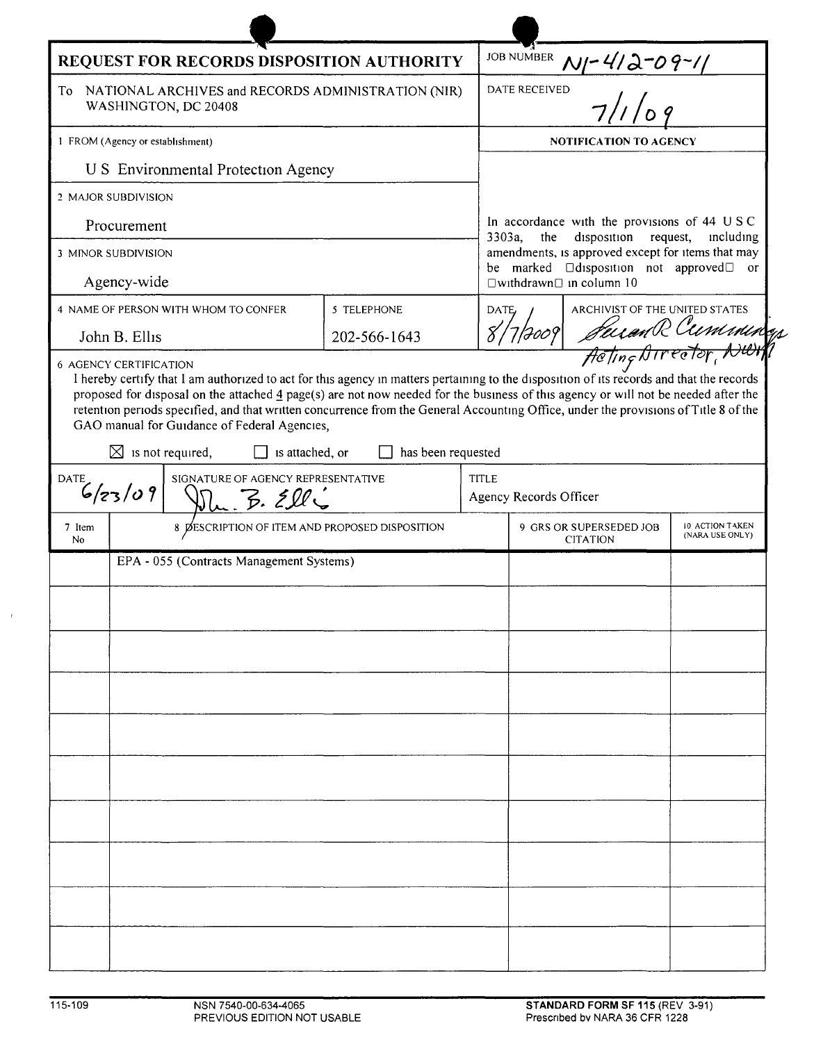| REQUEST FOR RECORDS DISPOSITION AUTHORITY                                        |                                                |                                                                                                                                                                                                                                                                                                                                                                                                                                                                         |                    |       |                                                                                                                                                           |                                    |  |
|----------------------------------------------------------------------------------|------------------------------------------------|-------------------------------------------------------------------------------------------------------------------------------------------------------------------------------------------------------------------------------------------------------------------------------------------------------------------------------------------------------------------------------------------------------------------------------------------------------------------------|--------------------|-------|-----------------------------------------------------------------------------------------------------------------------------------------------------------|------------------------------------|--|
| NATIONAL ARCHIVES and RECORDS ADMINISTRATION (NIR)<br>To<br>WASHINGTON, DC 20408 |                                                |                                                                                                                                                                                                                                                                                                                                                                                                                                                                         |                    |       | JOB NUMBER $M$ -4/2-09-1/                                                                                                                                 |                                    |  |
| 1 FROM (Agency or establishment)                                                 |                                                |                                                                                                                                                                                                                                                                                                                                                                                                                                                                         |                    |       | <b>NOTIFICATION TO AGENCY</b>                                                                                                                             |                                    |  |
|                                                                                  |                                                | U S Environmental Protection Agency                                                                                                                                                                                                                                                                                                                                                                                                                                     |                    |       |                                                                                                                                                           |                                    |  |
| 2 MAJOR SUBDIVISION                                                              |                                                |                                                                                                                                                                                                                                                                                                                                                                                                                                                                         |                    |       |                                                                                                                                                           |                                    |  |
| Procurement                                                                      |                                                |                                                                                                                                                                                                                                                                                                                                                                                                                                                                         |                    |       | In accordance with the provisions of 44 USC<br>3303a,<br>disposition<br>the<br>request,<br>including<br>amendments, is approved except for items that may |                                    |  |
| 3 MINOR SUBDIVISION                                                              |                                                |                                                                                                                                                                                                                                                                                                                                                                                                                                                                         |                    |       |                                                                                                                                                           |                                    |  |
| Agency-wide                                                                      |                                                |                                                                                                                                                                                                                                                                                                                                                                                                                                                                         |                    |       | be marked <b>D</b> disposition not approved D<br>or<br>$\square$ withdrawn $\square$ in column 10                                                         |                                    |  |
| 5 TELEPHONE<br>4 NAME OF PERSON WITH WHOM TO CONFER                              |                                                |                                                                                                                                                                                                                                                                                                                                                                                                                                                                         |                    |       | ARCHIVIST OF THE UNITED STATES<br>DATE,                                                                                                                   |                                    |  |
| John B. Ellis                                                                    |                                                |                                                                                                                                                                                                                                                                                                                                                                                                                                                                         | 202-566-1643       |       | Suran R Cuminings<br>8/7/7009                                                                                                                             |                                    |  |
|                                                                                  |                                                | I hereby certify that I am authorized to act for this agency in matters pertaining to the disposition of its records and that the records<br>proposed for disposal on the attached 4 page(s) are not now needed for the business of this agency or will not be needed after the<br>retention periods specified, and that written concurrence from the General Accounting Office, under the provisions of Title 8 of the<br>GAO manual for Guidance of Federal Agencies, |                    |       |                                                                                                                                                           |                                    |  |
|                                                                                  | $\boxtimes$ is not required,                   | is attached, or                                                                                                                                                                                                                                                                                                                                                                                                                                                         | has been requested |       |                                                                                                                                                           |                                    |  |
| SIGNATURE OF AGENCY REPRESENTATIVE<br>DATE<br>6/23/09<br>$Du.$ $B. 200$          |                                                |                                                                                                                                                                                                                                                                                                                                                                                                                                                                         |                    | TITLE | Agency Records Officer                                                                                                                                    |                                    |  |
| 7 Item<br><b>No</b>                                                              | 8 ØESCRIPTION OF ITEM AND PROPOSED DISPOSITION |                                                                                                                                                                                                                                                                                                                                                                                                                                                                         |                    |       | 9 GRS OR SUPERSEDED JOB<br><b>CITATION</b>                                                                                                                | 10 ACTION TAKEN<br>(NARA USE ONLY) |  |
|                                                                                  | EPA - 055 (Contracts Management Systems)       |                                                                                                                                                                                                                                                                                                                                                                                                                                                                         |                    |       |                                                                                                                                                           |                                    |  |
|                                                                                  |                                                |                                                                                                                                                                                                                                                                                                                                                                                                                                                                         |                    |       |                                                                                                                                                           |                                    |  |
|                                                                                  |                                                |                                                                                                                                                                                                                                                                                                                                                                                                                                                                         |                    |       |                                                                                                                                                           |                                    |  |
|                                                                                  |                                                |                                                                                                                                                                                                                                                                                                                                                                                                                                                                         |                    |       |                                                                                                                                                           |                                    |  |
|                                                                                  |                                                |                                                                                                                                                                                                                                                                                                                                                                                                                                                                         |                    |       |                                                                                                                                                           |                                    |  |
|                                                                                  |                                                |                                                                                                                                                                                                                                                                                                                                                                                                                                                                         |                    |       |                                                                                                                                                           |                                    |  |
|                                                                                  |                                                |                                                                                                                                                                                                                                                                                                                                                                                                                                                                         |                    |       |                                                                                                                                                           |                                    |  |
|                                                                                  |                                                |                                                                                                                                                                                                                                                                                                                                                                                                                                                                         |                    |       |                                                                                                                                                           |                                    |  |
|                                                                                  |                                                |                                                                                                                                                                                                                                                                                                                                                                                                                                                                         |                    |       |                                                                                                                                                           |                                    |  |
|                                                                                  |                                                |                                                                                                                                                                                                                                                                                                                                                                                                                                                                         |                    |       |                                                                                                                                                           |                                    |  |
|                                                                                  |                                                |                                                                                                                                                                                                                                                                                                                                                                                                                                                                         |                    |       |                                                                                                                                                           |                                    |  |
|                                                                                  |                                                |                                                                                                                                                                                                                                                                                                                                                                                                                                                                         |                    |       |                                                                                                                                                           |                                    |  |
|                                                                                  |                                                |                                                                                                                                                                                                                                                                                                                                                                                                                                                                         |                    |       |                                                                                                                                                           |                                    |  |
|                                                                                  |                                                |                                                                                                                                                                                                                                                                                                                                                                                                                                                                         |                    |       |                                                                                                                                                           |                                    |  |
|                                                                                  |                                                |                                                                                                                                                                                                                                                                                                                                                                                                                                                                         |                    |       |                                                                                                                                                           |                                    |  |

h.

 $\bar{1}$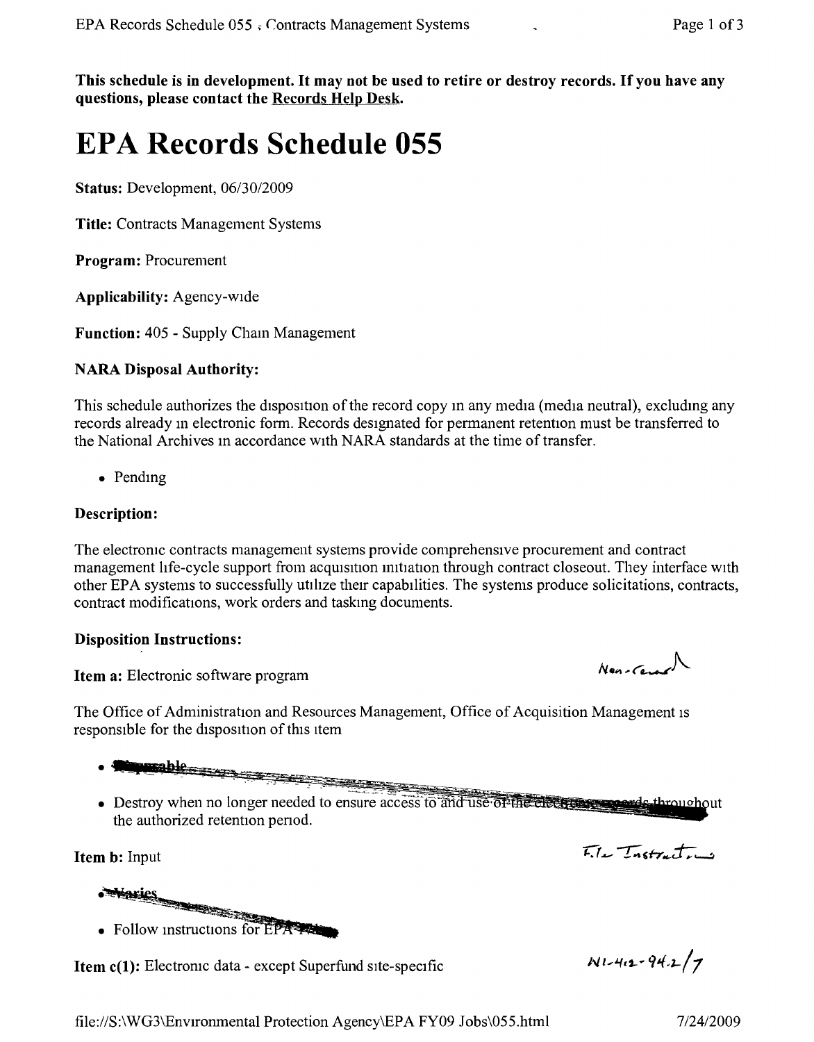This schedule is in development. It may not be used to retire or destroy records. If you have any questions, please contact the Records Help Desk.

# **EPA Records Schedule 055**

Status: Development, *06/30/2009*

Title: Contracts Management Systems

Program: Procurement

Applicability: Agency-wide

Function: 405 - Supply Cham Management

## NARA Disposal Authority:

This schedule authorizes the disposition of the record copy m any media (media neutral), excludmg any records already m electronic form. Records designated for permanent retention must be transferred to the National Archives m accordance with NARA standards at the time of transfer.

• Pending

#### Description:

The electronic contracts management systems provide comprehensive procurement and contract management life-cycle support from acquisition initiation through contract closeout. They interface with other EPA systems to successfully utilize their capabilities, The systems produce solicitations, contracts, contract modifications, work orders and taskmg documents.

#### Disposition Instructions:

Item a: Electronic software program

The Office of Administration and Resources Management, Office of Acquisition Management IS responsible for the disposition of this item

- 
- parable<br>Listen de la parable de la parable de la parable de la partie de la partie de la partie de la partie de la par
- Destroy when no longer needed to ensure access to and use of the electron speeds throughout the authorized retention period.

Item b: Input

**Maries**<br>Follow instructions for • Follow instructions for EPA

Item c(1): Electronic data - except Superfund site-specific

 $N1 - 4.2 - 94.2/7$ 

 $E_{i}$   $\mu$   $T_{nstrat}$ 

 $N$ en-Cerar $\Lambda$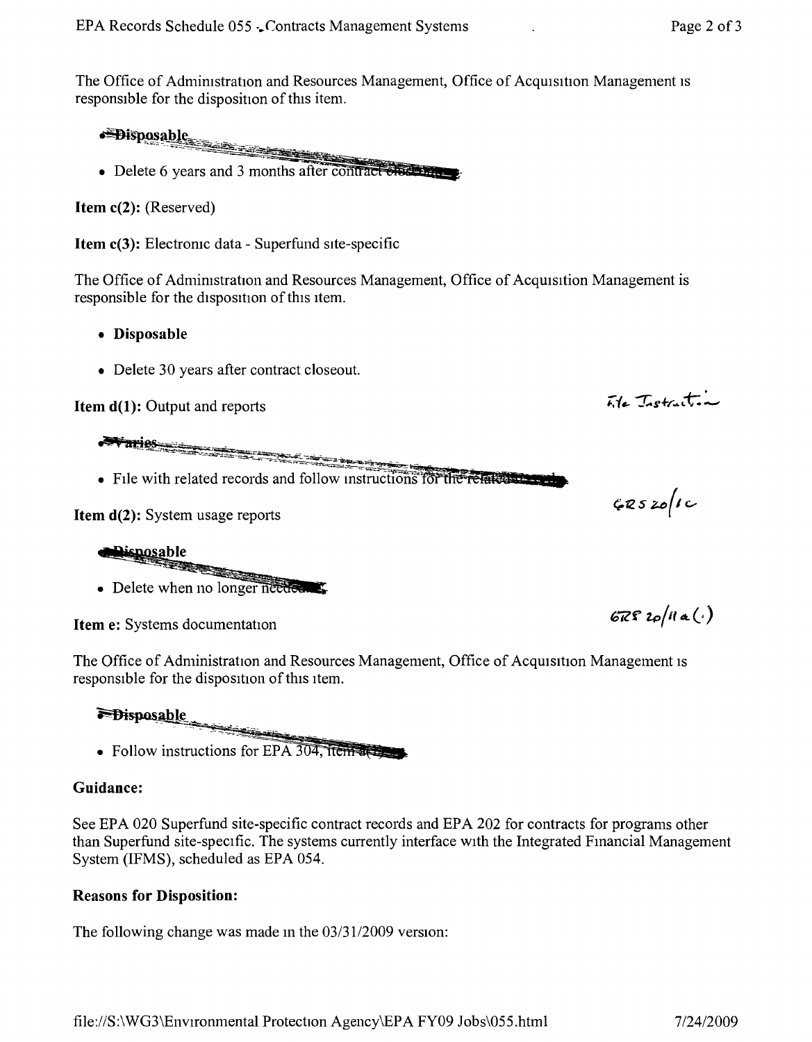The Office of Administration and Resources Management, Office of Acquisition Management is responsible for the disposition of this item.

Supposable

• Delete 6 years and 3 months after contract checks.

**Item c(2):** (Reserved)

**Item c(3):** Electronic data - Superfund site-specific

The Office of Admimstration and Resources Management, Office of Acquisition Management is responsible for the disposition of this item.

- **• Disposable**
- Delete 30 years after contract closeout.

**Item d(1):** Output and reports

*~T •*

• File with related records and follow instructions for the related

**Item d(2):** System usage reports



**Item e:** Systems documentation

The Office of Administration and Resources Management, Office of Acquisition Management IS responsible for the disposition of this item.

**E**Bisposable  $-1$ Ļ ----:o~ --=~ \_ l

• Follow instructions for EPA 304, items to

## **Guidance:**

See EPA 020 Superfund site-specific contract records and EPA 202 for contracts for programs other than Superfund site-specific. The systems currently interface with the Integrated Fmancial Management System (lFMS), scheduled as EPA 054.

#### **Reasons for Disposition:**

The following change was made m the *03/3112009* version:

File Instruction

 $67820/11a(.)$ 

 $CRSZo/IC$